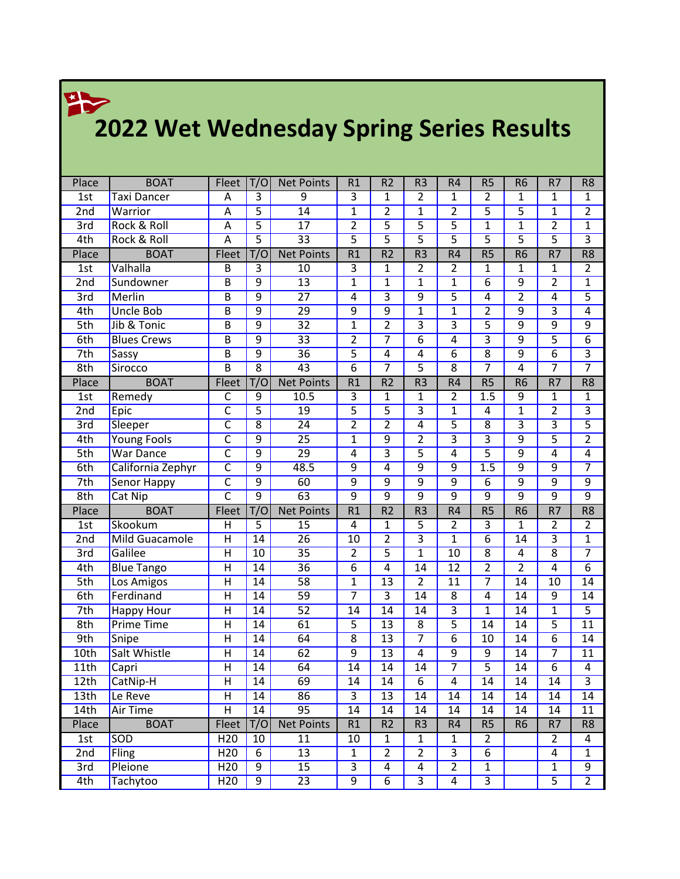## **2022 Wet Wednesday Spring Series Results**

|                          | <b>BOAT</b>            |                                                    | T/O                   |                        | R1                               | R <sub>2</sub>                             | R <sub>3</sub>                    | R <sub>4</sub>                    | R <sub>5</sub>                    | R <sub>6</sub>            | $\overline{R7}$                  |                                    |
|--------------------------|------------------------|----------------------------------------------------|-----------------------|------------------------|----------------------------------|--------------------------------------------|-----------------------------------|-----------------------------------|-----------------------------------|---------------------------|----------------------------------|------------------------------------|
| Place<br>1st             | <b>Taxi Dancer</b>     | Fleet<br>Α                                         | $\overline{3}$        | <b>Net Points</b><br>9 | $\overline{3}$                   | $\mathbf{1}$                               | $\overline{2}$                    | $\mathbf{1}$                      | $\overline{2}$                    | 1                         | $\mathbf{1}$                     | R <sub>8</sub><br>1                |
| 2nd                      | Warrior                | A                                                  | $\overline{5}$        | $\overline{14}$        | $\overline{1}$                   | $\overline{2}$                             | $\overline{1}$                    | $\overline{2}$                    | $\overline{5}$                    | $\overline{5}$            | $\overline{1}$                   | $\overline{2}$                     |
| 3rd                      | <b>Rock &amp; Roll</b> | Α                                                  | $\overline{5}$        | $\overline{17}$        | $\overline{2}$                   | $\overline{5}$                             | $\overline{5}$                    | $\overline{5}$                    | $\overline{1}$                    | $\overline{1}$            | $\overline{2}$                   | $\overline{1}$                     |
| 4th                      | <b>Rock &amp; Roll</b> | $\overline{\mathsf{A}}$                            | $\overline{5}$        | $\overline{33}$        | $\overline{5}$                   | $\overline{5}$                             | $\overline{5}$                    | $\overline{5}$                    | $\overline{5}$                    | $\overline{5}$            | $\overline{5}$                   | $\overline{\overline{3}}$          |
| Place                    | <b>BOAT</b>            | Fleet                                              | T/O                   | <b>Net Points</b>      | $\overline{R1}$                  | $\overline{R2}$                            | $\overline{R3}$                   | R <sub>4</sub>                    | R5                                | R6                        | $\overline{R7}$                  | $\overline{R8}$                    |
| 1st                      | Valhalla               | B                                                  | $\overline{3}$        | $\overline{10}$        | 3                                | 1                                          | $\overline{2}$                    | $\overline{2}$                    | $\mathbf{1}$                      | 1                         | $\mathbf{1}$                     | $\overline{2}$                     |
| 2nd                      | Sundowner              | $\overline{B}$                                     | $\overline{9}$        | $\overline{13}$        | $\overline{1}$                   | $\overline{1}$                             | $\overline{1}$                    | $\mathbf{1}$                      | $\overline{6}$                    | $\overline{9}$            | $\overline{2}$                   | $\overline{1}$                     |
| 3rd                      | Merlin                 | $\overline{\mathsf{B}}$                            | $\overline{9}$        | $\overline{27}$        | $\overline{4}$                   | $\overline{3}$                             | $\overline{9}$                    | $\overline{5}$                    | 4                                 | $\overline{2}$            | $\overline{4}$                   | $\overline{5}$                     |
| 4th                      | <b>Uncle Bob</b>       | B                                                  | $\overline{9}$        | $\overline{29}$        | $\overline{9}$                   | $\overline{9}$                             | $\overline{1}$                    | $\overline{1}$                    | $\overline{2}$                    | $\overline{9}$            | $\overline{3}$                   | $\overline{4}$                     |
| 5th                      | Jib & Tonic            | $\overline{B}$                                     | $\overline{9}$        | $\overline{32}$        | $\overline{1}$                   | $\overline{2}$                             | $\overline{\overline{3}}$         | $\overline{3}$                    | $\overline{5}$                    | $\overline{9}$            | $\overline{9}$                   | $\overline{9}$                     |
| 6th                      | <b>Blues Crews</b>     | B                                                  | $\overline{9}$        | $\overline{33}$        | $\overline{2}$                   | 7                                          | $\overline{6}$                    | 4                                 | $\overline{3}$                    | $\overline{9}$            | $\overline{5}$                   | $\overline{6}$                     |
| 7th                      | Sassy                  | $\overline{B}$                                     | $\overline{9}$        | $\overline{36}$        | $\overline{5}$                   | 4                                          | 4                                 | $\overline{6}$                    | $\overline{8}$                    | $\overline{9}$            | $\overline{6}$                   | $\overline{\mathbf{3}}$            |
| 8th                      | Sirocco                | $\overline{B}$                                     | $\overline{8}$        | 43                     | $\overline{6}$                   | $\overline{7}$                             | $\overline{5}$                    | $\overline{8}$                    | $\overline{7}$                    | 4                         | $\overline{7}$                   | $\overline{7}$                     |
| Place                    | <b>BOAT</b>            | Fleet                                              | T/O                   | <b>Net Points</b>      | $\overline{R1}$                  | $\overline{R2}$                            | R <sub>3</sub>                    | R <sub>4</sub>                    | $\overline{RS}$                   | R6                        | $\overline{R7}$                  | R8                                 |
| 1st                      | Remedy                 | C                                                  | 9                     | 10.5                   | 3                                | 1                                          | 1                                 | 2                                 | 1.5                               | 9                         | 1                                | 1                                  |
| 2nd                      | Epic                   | $\overline{\mathsf{c}}$                            | $\overline{5}$        | 19                     | $\overline{5}$                   | $\overline{5}$                             | $\overline{\overline{3}}$         | $\overline{1}$                    | 4                                 | $\overline{1}$            | $\overline{2}$                   | $\overline{3}$                     |
| 3rd                      | Sleeper                | $\overline{\mathsf{C}}$                            | $\overline{8}$        | $\overline{24}$        | $\overline{2}$                   | $\overline{2}$                             | $\overline{4}$                    | $\overline{5}$                    | $\overline{8}$                    | $\overline{\overline{3}}$ | $\overline{3}$                   | $\overline{5}$                     |
| 4th                      | <b>Young Fools</b>     | $\overline{\mathsf{c}}$                            | $\overline{9}$        | $\overline{25}$        | $\overline{1}$                   | $\overline{9}$                             | $\overline{2}$                    | $\overline{3}$                    | $\overline{\overline{3}}$         | $\overline{9}$            | $\overline{5}$                   | $\overline{2}$                     |
| 5th                      | <b>War Dance</b>       | $\overline{\mathsf{c}}$                            | $\overline{9}$        | $\overline{29}$        | $\overline{4}$                   | $\overline{3}$                             | $\overline{5}$                    | $\overline{4}$                    | $\overline{5}$                    | $\overline{9}$            | 4                                | $\overline{4}$                     |
| 6th                      | California Zephyr      | $\overline{\mathsf{C}}$                            | $\overline{9}$        | 48.5                   | $\overline{9}$                   | $\overline{4}$                             | $\overline{9}$                    | $\overline{9}$                    | 1.5                               | $\overline{9}$            | $\overline{9}$                   | $\overline{7}$                     |
| 7th                      | <b>Senor Happy</b>     | $\overline{\mathsf{c}}$                            | $\overline{9}$        | 60                     | $\overline{9}$                   | $\overline{9}$                             | $\overline{9}$                    | $\overline{9}$                    | $\overline{6}$                    | $\overline{9}$            | $\overline{9}$                   | $\overline{9}$                     |
| 8th                      | Cat Nip                | $\overline{\mathsf{C}}$                            | $\overline{9}$        | $\overline{63}$        | $\overline{9}$                   | $\overline{9}$                             | $\overline{9}$                    | $\overline{9}$                    | $\overline{9}$                    | $\overline{9}$            | $\overline{9}$                   | $\overline{9}$                     |
|                          |                        |                                                    |                       |                        |                                  |                                            |                                   |                                   |                                   |                           |                                  |                                    |
|                          |                        |                                                    |                       |                        |                                  |                                            |                                   |                                   |                                   |                           |                                  |                                    |
| Place                    | <b>BOAT</b>            | Fleet                                              | T/O                   | <b>Net Points</b>      | $\overline{R1}$                  | $\overline{R2}$                            | $\overline{R3}$                   | $\overline{R4}$                   | R5                                | $\overline{R6}$           | $\overline{R7}$                  | $\overline{R8}$                    |
| 1st                      | Skookum                | Н                                                  | 5                     | 15                     | 4                                | 1                                          | 5                                 | 2                                 | $\overline{\mathbf{3}}$           | 1                         | $\overline{2}$                   | $\overline{2}$                     |
| 2nd                      | <b>Mild Guacamole</b>  | $\overline{H}$                                     | $\overline{14}$       | $\overline{26}$        | $\overline{10}$                  | $\overline{2}$                             | $\overline{\overline{3}}$         | $\mathbf 1$                       | $\overline{6}$                    | $\overline{14}$           | $\overline{3}$                   | $\overline{1}$                     |
| 3rd                      | Galilee                | $\overline{H}$                                     | 10                    | $\overline{35}$        | $\overline{2}$                   | $\overline{5}$<br>$\overline{4}$           | $\overline{1}$<br>$\overline{14}$ | $\overline{10}$                   | $\overline{8}$                    | 4<br>$\overline{2}$       | $\overline{8}$<br>$\overline{4}$ | $\overline{7}$                     |
| 4th                      | <b>Blue Tango</b>      | $\overline{\overline{\mathsf{H}}}$                 | 14                    | $\overline{36}$        | $\overline{6}$                   |                                            |                                   | $\overline{12}$                   | $\overline{2}$<br>$\overline{7}$  | $\overline{14}$           |                                  | $\overline{6}$                     |
| 5th                      | Los Amigos             | $\overline{\mathsf{H}}$<br>$\overline{\textsf{H}}$ | $\overline{14}$<br>14 | $\overline{58}$        | $\overline{1}$<br>$\overline{7}$ | $\overline{13}$<br>$\overline{\mathbf{3}}$ | $\overline{2}$<br>$\overline{14}$ | $\overline{11}$<br>$\overline{8}$ | $\overline{4}$                    | $\overline{14}$           | 10<br>$\overline{9}$             | $\overline{14}$<br>$\overline{14}$ |
| 6th                      | Ferdinand              |                                                    |                       | $\overline{59}$        |                                  |                                            |                                   |                                   |                                   | $\overline{14}$           |                                  |                                    |
| 7th                      | <b>Happy Hour</b>      | H                                                  | $\overline{14}$<br>14 | $\overline{52}$        | 14                               | $\overline{14}$                            | $\overline{14}$                   | $\overline{3}$                    | $\overline{1}$<br>$\overline{14}$ | $\overline{14}$           | $\overline{1}$                   | $\overline{5}$                     |
| 8th<br>9th               | <b>Prime Time</b>      | $\overline{H}$<br>$\overline{H}$                   | 14                    | $\overline{61}$<br>64  | $\overline{5}$<br>$\overline{8}$ | $\overline{13}$<br>$\overline{13}$         | $\overline{8}$<br>$\overline{7}$  | $\overline{5}$<br>$\overline{6}$  | $\overline{10}$                   | $\overline{14}$           | $\overline{5}$<br>$\overline{6}$ | $\overline{11}$<br>$\overline{14}$ |
| 10 <sub>th</sub>         | Snipe<br>Salt Whistle  | $\overline{\mathsf{H}}$                            | 14                    | 62                     | $\overline{9}$                   | $\overline{13}$                            | $\overline{4}$                    | $\overline{9}$                    | $\overline{9}$                    | $\overline{14}$           | $\overline{7}$                   | $\overline{11}$                    |
|                          |                        |                                                    |                       |                        |                                  |                                            |                                   | $\overline{7}$                    | $\overline{5}$                    |                           | $\overline{6}$                   | $\overline{4}$                     |
| 11th                     | Capri                  | $\overline{H}$<br>$\overline{H}$                   | 14<br>14              | 64<br>69               | $\overline{14}$                  | 14                                         | 14<br>$\overline{6}$              | $\overline{4}$                    |                                   | $\overline{14}$<br>14     |                                  | $\overline{3}$                     |
| 12th<br>13 <sub>th</sub> | CatNip-H<br>Le Reve    | $\overline{H}$                                     | 14                    | 86                     | 14<br>$\overline{3}$             | 14<br>$\overline{13}$                      | 14                                | 14                                | 14<br>14                          | $\overline{14}$           | 14<br>$\overline{14}$            | 14                                 |
| 14 <sub>th</sub>         | <b>Air Time</b>        | $\overline{H}$                                     | 14                    | 95                     | 14                               | 14                                         | 14                                | 14                                | 14                                | 14                        | 14                               | 11                                 |
| Place                    | <b>BOAT</b>            | Fleet                                              | T/O                   | <b>Net Points</b>      | R1                               | R <sub>2</sub>                             | R <sub>3</sub>                    | R4                                | R <sub>5</sub>                    | R <sub>6</sub>            | R7                               | R <sub>8</sub>                     |
| 1st                      | <b>SOD</b>             | H <sub>20</sub>                                    | 10                    | 11                     | 10                               | $\mathbf{1}$                               | 1                                 | $\mathbf{1}$                      | $\overline{2}$                    |                           | $\overline{2}$                   | 4                                  |
| 2nd                      | <b>Fling</b>           | H <sub>20</sub>                                    | 6                     | 13                     | $\mathbf{1}$                     | $\overline{2}$                             | $\overline{2}$                    | 3                                 | 6                                 |                           | 4                                | $\mathbf{1}$                       |
| 3rd                      | Pleione                | H20                                                | $\overline{9}$        | 15                     | $\overline{3}$                   | $\overline{4}$                             | $\overline{4}$                    | $\overline{2}$                    | $\overline{1}$                    |                           | $\overline{1}$                   | $\overline{9}$                     |